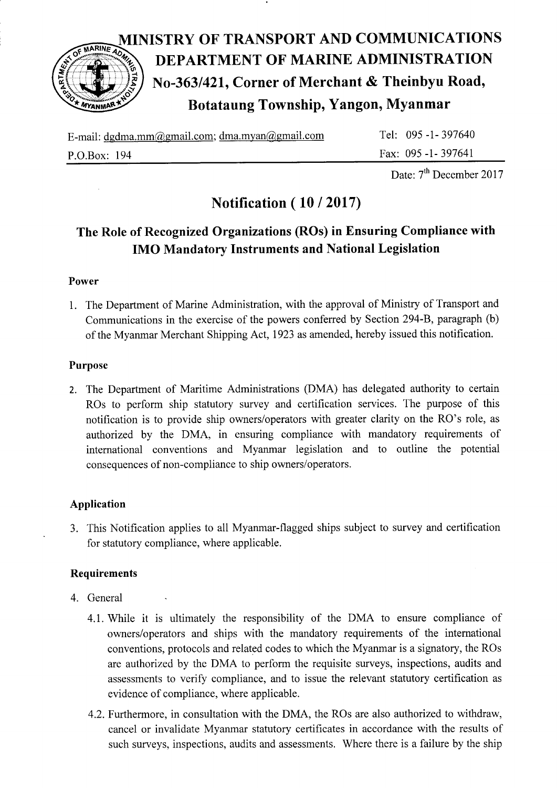

# MINISTRY OF TRANSPORT AND COMMUNICATIONS<br>
DEPARTMENT OF MARINE ADMINISTRATION<br>
No-363/421, Corner of Merchant & Theinbyu Road,<br>
Botataung Township, Yangon, Myanmar DEPARTMENT OF MARINE ADMINISTRATION No-363/421, Corner of Merchant & Theinbyu Road, Botataung Township, Yangon, Myanmar

| E-mail: dgdma.mm@gmail.com; dma.myan@gmail.com | Tel: 095 -1 - 397640 |
|------------------------------------------------|----------------------|
| P.O.Box: 194                                   | Fax: 095 -1 - 397641 |

Date: 7<sup>th</sup> December 2017

## Notification(10/2017)

### The Role of Recognized Organizations (ROs) in Ensuring Compliance with IMO Mandatory Instruments and National Legislation

#### Power

1. The Department of Marine Administration, with the approval of Ministry of Transport and Communications in the exercise of the powers conferred by Section 294-8, paragraph (b) of the Myanmar Merchant Shipping Act,1923 as amended, hereby issued this notification.

#### Purpose

2. The Department of Maritime Administrations (DMA) has delegated authority to certain ROs to perform ship statutory suruey and certification services. The purpose of this notification is to provide ship owners/operators with greater clarity on the RO's role, as authorized by the DMA, in ensuring compliance with mandatory requirements of international conventions and Myanmar legislation and to outline the potential consequences of non-compliance to ship owners/operators.

#### Application

3. This Notification applies to all Myanmar-flagged ships subject to survey and certification for statutory compliance, where applicable.

#### Requirements

- 4. General
	- 4.1. While it is ultimately the responsibility of the DMA to ensure compliance of owners/operators and ships with the mandatory requirements of the intemational conventions, protocols and related codes to which the Myanmar is a signatory, the ROs are authorized by the DMA to perform the requisite surveys, inspections, audits and assessments to verify compliance, and to issue the relevant statutory certification as evidence of compliance, where applicable.
	- 4.2. Furthermore, in consultation with the DMA, the ROs are also authorized to withdraw, cancel or invalidate Myanmar statutory certificates in accordance with the results of such surveys, inspections, audits and assessments. Where there is a failure by the ship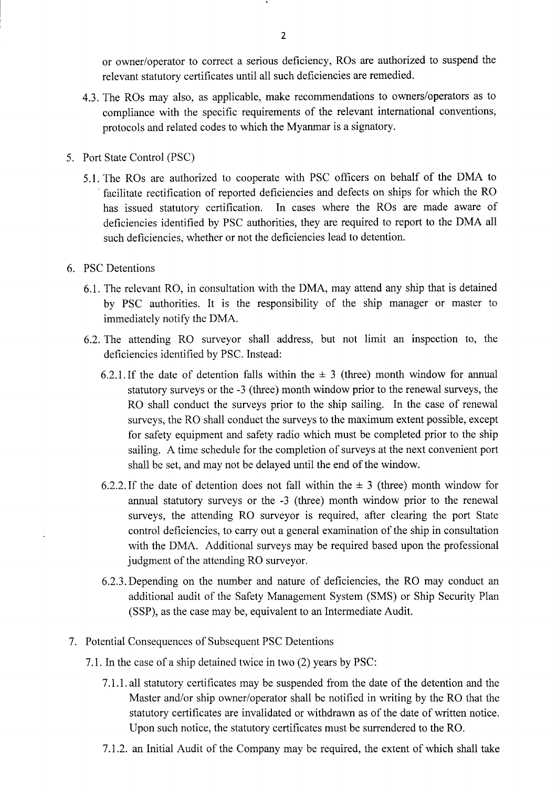or owner/operator to correct a serious deficiency, ROs are authorized to suspend the relevant statutory certificates until all such deficiencies are remedied.

- 4.3. The ROs may also, as applicable, make recommendations to owners/operators as to compliance with the specific requirements of the relevant international conventions, protocols and related codes to which the Myanmar is a signatory.
- 5. Port State Control (PSC)
	- 5.1. The ROs are authorized to cooperate with PSC officers on behalf of the DMA to facilitate rectification of reported defrciencies and defects on ships for which the RO has issued statutory certification. In cases where the ROs are made aware of deficiencies identified by PSC authorities, they are required to report to the DMA all such deficiencies, whether or not the deficiencies lead to detention.
- 6. PSC Detentions
	- 6"1. The relevant RO, in consultation with the DMA, may attend any ship that is detained by PSC authorities. It is the responsibility of the ship manager or master to immediately notify the DMA.
	- 6.2.The attending RO surveyor shall address, but not limit an inspection to, the deficiencies identified by PSC. Instead:
		- 6.2.1. If the date of detention falls within the  $\pm$  3 (three) month window for annual statutory suryeys or the -3 (three) month window prior to the renewal surveys, the RO shall conduct the surveys prior to the ship sailing. In the case of renewal surveys, the RO shall conduct the surveys to the maximum extent possible, except for safety equipment and safety radio which must be completed prior to the ship sailing. A time schedule for the completion of surveys at the next convenient port shall be set, and may not be delayed until the end of the window.
		- 6.2.2. If the date of detention does not fall within the  $\pm$  3 (three) month window for annual statutory surveys or the -3 (three) month window prior to the renewal surveys, the attending RO surveyor is required, after clearing the port State control deficiencies, to carry out a general examination of the ship in consultation with the DMA. Additional surveys may be required based upon the professional judgment of the attending RO surveyor.
		- 6.2.3.Depending on the number and nature of deficiencies, the RO may conduct an additional audit of the Safety Management System (SMS) or Ship Security Plan (SSP), as the case may be, equivalent to an Intermediate Audit.
- 7 . Potential Consequences of Subsequent PSC Detentions
	- 7.l.Inthe case of a ship detained twice in two (2) years by PSC:
		- 7.l.I.all statutory certificates may be suspended from the date of the detention and the Master and/or ship owner/operator shall be notified in writing by the RO that the statutory certificates are invalidated or withdrawn as of the date of written notice. Upon such notice, the statutory certificates must be surrendered to the RO.
		- 7 .I.2. an Initial Audit of the Company may be required, the extent of which shall take